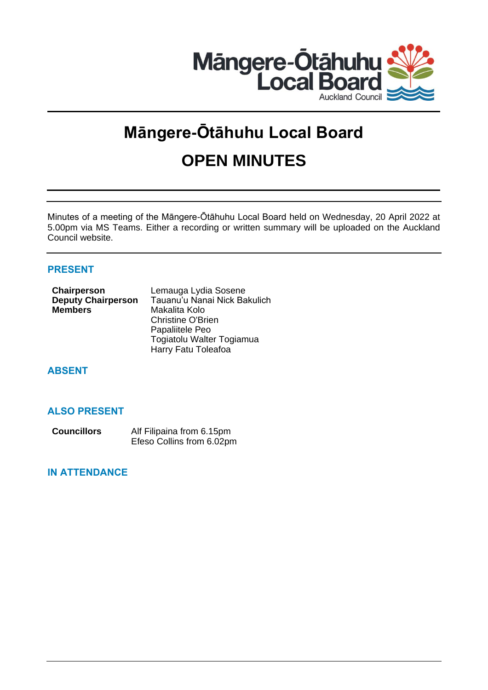

# **Māngere-Ōtāhuhu Local Board OPEN MINUTES**

Minutes of a meeting of the Māngere-Ōtāhuhu Local Board held on Wednesday, 20 April 2022 at 5.00pm via MS Teams. Either a recording or written summary will be uploaded on the Auckland Council website.

# **PRESENT**

| Chairperson               | Lemauga Lydia Sosene         |
|---------------------------|------------------------------|
| <b>Deputy Chairperson</b> | Tauanu'u Nanai Nick Bakulich |
| <b>Members</b>            | Makalita Kolo                |
|                           | <b>Christine O'Brien</b>     |
|                           | Papaliitele Peo              |
|                           | Togiatolu Walter Togiamua    |
|                           | Harry Fatu Toleafoa          |
|                           |                              |

# **ABSENT**

# **ALSO PRESENT**

| <b>Councillors</b> | Alf Filipaina from 6.15pm |
|--------------------|---------------------------|
|                    | Efeso Collins from 6.02pm |

# **IN ATTENDANCE**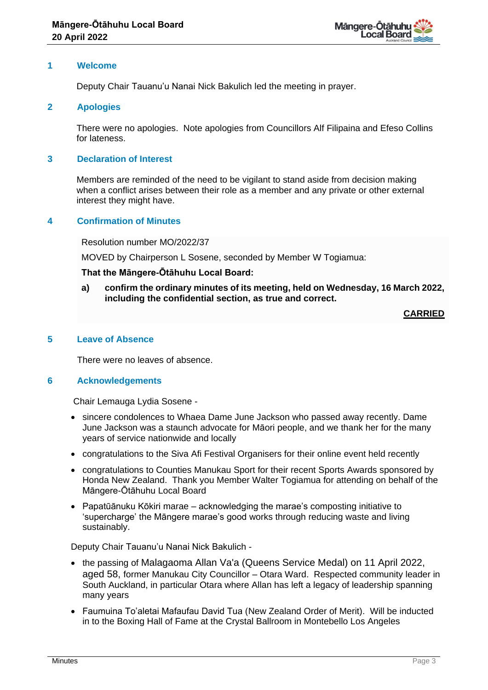

## **1 Welcome**

Deputy Chair Tauanu'u Nanai Nick Bakulich led the meeting in prayer.

## **2 Apologies**

There were no apologies. Note apologies from Councillors Alf Filipaina and Efeso Collins for lateness.

# **3 Declaration of Interest**

Members are reminded of the need to be vigilant to stand aside from decision making when a conflict arises between their role as a member and any private or other external interest they might have.

# **4 Confirmation of Minutes**

Resolution number MO/2022/37

MOVED by Chairperson L Sosene, seconded by Member W Togiamua:

## **That the Māngere-Ōtāhuhu Local Board:**

**a) confirm the ordinary minutes of its meeting, held on Wednesday, 16 March 2022, including the confidential section, as true and correct.**

**CARRIED**

## **5 Leave of Absence**

There were no leaves of absence.

## **6 Acknowledgements**

Chair Lemauga Lydia Sosene -

- sincere condolences to Whaea Dame June Jackson who passed away recently. Dame June Jackson was a staunch advocate for Māori people, and we thank her for the many years of service nationwide and locally
- congratulations to the Siva Afi Festival Organisers for their online event held recently
- congratulations to Counties Manukau Sport for their recent Sports Awards sponsored by Honda New Zealand. Thank you Member Walter Togiamua for attending on behalf of the Māngere-Ōtāhuhu Local Board
- Papatūānuku Kōkiri marae acknowledging the marae's composting initiative to 'supercharge' the Māngere marae's good works through reducing waste and living sustainably.

Deputy Chair Tauanu'u Nanai Nick Bakulich -

- the passing of Malagaoma Allan Va'a (Queens Service Medal) on 11 April 2022, aged 58, former Manukau City Councillor – Otara Ward. Respected community leader in South Auckland, in particular Otara where Allan has left a legacy of leadership spanning many years
- Faumuina To'aletai Mafaufau David Tua (New Zealand Order of Merit). Will be inducted in to the Boxing Hall of Fame at the Crystal Ballroom in Montebello Los Angeles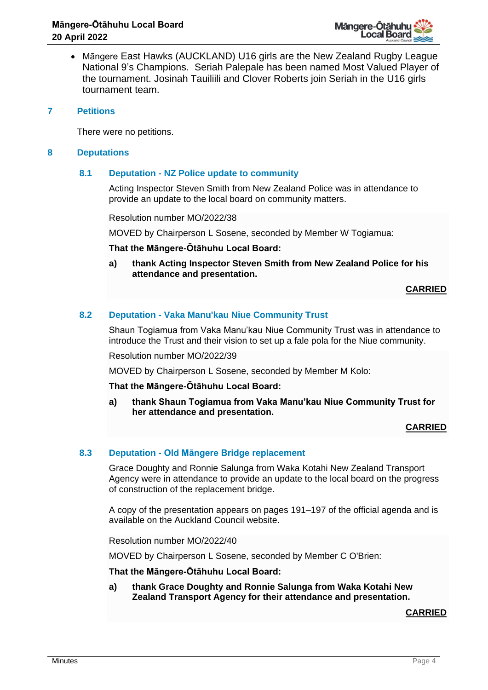

• Māngere East Hawks (AUCKLAND) U16 girls are the New Zealand Rugby League National 9's Champions. Seriah Palepale has been named Most Valued Player of the tournament. Josinah Tauiliili and Clover Roberts join Seriah in the U16 girls tournament team.

## **7 Petitions**

There were no petitions.

## **8 Deputations**

# **8.1 Deputation - NZ Police update to community**

Acting Inspector Steven Smith from New Zealand Police was in attendance to provide an update to the local board on community matters.

Resolution number MO/2022/38

MOVED by Chairperson L Sosene, seconded by Member W Togiamua:

## **That the Māngere-Ōtāhuhu Local Board:**

**a) thank Acting Inspector Steven Smith from New Zealand Police for his attendance and presentation.**

**CARRIED**

## **8.2 Deputation - Vaka Manu'kau Niue Community Trust**

Shaun Togiamua from Vaka Manu'kau Niue Community Trust was in attendance to introduce the Trust and their vision to set up a fale pola for the Niue community.

Resolution number MO/2022/39

MOVED by Chairperson L Sosene, seconded by Member M Kolo:

**That the Māngere-Ōtāhuhu Local Board:**

**a) thank Shaun Togiamua from Vaka Manu'kau Niue Community Trust for her attendance and presentation.**

## **CARRIED**

# **8.3 Deputation - Old Māngere Bridge replacement**

Grace Doughty and Ronnie Salunga from Waka Kotahi New Zealand Transport Agency were in attendance to provide an update to the local board on the progress of construction of the replacement bridge.

A copy of the presentation appears on pages 191–197 of the official agenda and is available on the Auckland Council website.

Resolution number MO/2022/40

MOVED by Chairperson L Sosene, seconded by Member C O'Brien:

# **That the Māngere-Ōtāhuhu Local Board:**

**a) thank Grace Doughty and Ronnie Salunga from Waka Kotahi New Zealand Transport Agency for their attendance and presentation.**

**CARRIED**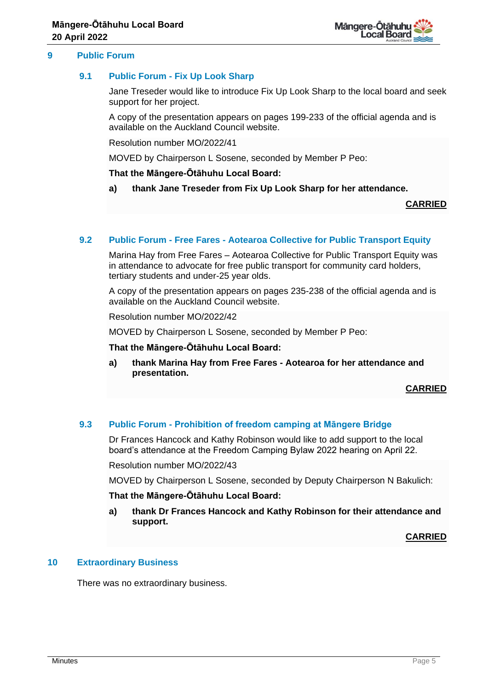

## **9 Public Forum**

## **9.1 Public Forum - Fix Up Look Sharp**

Jane Treseder would like to introduce Fix Up Look Sharp to the local board and seek support for her project.

A copy of the presentation appears on pages 199-233 of the official agenda and is available on the Auckland Council website.

Resolution number MO/2022/41

MOVED by Chairperson L Sosene, seconded by Member P Peo:

**That the Māngere-Ōtāhuhu Local Board:**

**a) thank Jane Treseder from Fix Up Look Sharp for her attendance.**

**CARRIED**

## **9.2 Public Forum - Free Fares - Aotearoa Collective for Public Transport Equity**

Marina Hay from Free Fares – Aotearoa Collective for Public Transport Equity was in attendance to advocate for free public transport for community card holders, tertiary students and under-25 year olds.

A copy of the presentation appears on pages 235-238 of the official agenda and is available on the Auckland Council website.

Resolution number MO/2022/42

MOVED by Chairperson L Sosene, seconded by Member P Peo:

**That the Māngere-Ōtāhuhu Local Board:**

**a) thank Marina Hay from Free Fares - Aotearoa for her attendance and presentation.**

**CARRIED**

## **9.3 Public Forum - Prohibition of freedom camping at Māngere Bridge**

Dr Frances Hancock and Kathy Robinson would like to add support to the local board's attendance at the Freedom Camping Bylaw 2022 hearing on April 22.

Resolution number MO/2022/43

MOVED by Chairperson L Sosene, seconded by Deputy Chairperson N Bakulich:

#### **That the Māngere-Ōtāhuhu Local Board:**

**a) thank Dr Frances Hancock and Kathy Robinson for their attendance and support.**

**CARRIED**

# **10 Extraordinary Business**

There was no extraordinary business.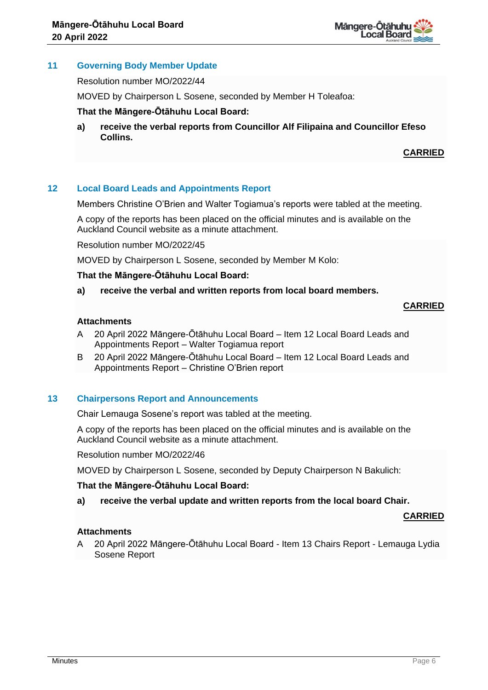

# **11 Governing Body Member Update**

Resolution number MO/2022/44

MOVED by Chairperson L Sosene, seconded by Member H Toleafoa:

## **That the Māngere-Ōtāhuhu Local Board:**

**a) receive the verbal reports from Councillor Alf Filipaina and Councillor Efeso Collins.** 

# **CARRIED**

# **12 Local Board Leads and Appointments Report**

Members Christine O'Brien and Walter Togiamua's reports were tabled at the meeting.

A copy of the reports has been placed on the official minutes and is available on the Auckland Council website as a minute attachment.

Resolution number MO/2022/45

MOVED by Chairperson L Sosene, seconded by Member M Kolo:

## **That the Māngere-Ōtāhuhu Local Board:**

**a) receive the verbal and written reports from local board members.**

# **CARRIED**

# **Attachments**

- A 20 April 2022 Māngere-Ōtāhuhu Local Board Item 12 Local Board Leads and Appointments Report – Walter Togiamua report
- B 20 April 2022 Māngere-Ōtāhuhu Local Board Item 12 Local Board Leads and Appointments Report – Christine O'Brien report

# **13 Chairpersons Report and Announcements**

Chair Lemauga Sosene's report was tabled at the meeting.

A copy of the reports has been placed on the official minutes and is available on the Auckland Council website as a minute attachment.

Resolution number MO/2022/46

MOVED by Chairperson L Sosene, seconded by Deputy Chairperson N Bakulich:

## **That the Māngere-Ōtāhuhu Local Board:**

**a) receive the verbal update and written reports from the local board Chair.**

## **CARRIED**

## **Attachments**

A 20 April 2022 Māngere-Ōtāhuhu Local Board - Item 13 Chairs Report - Lemauga Lydia Sosene Report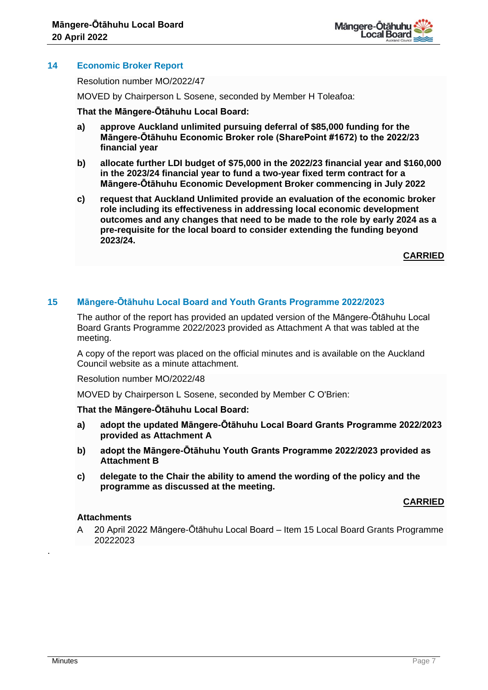

# **14 Economic Broker Report**

Resolution number MO/2022/47

MOVED by Chairperson L Sosene, seconded by Member H Toleafoa:

## **That the Māngere-Ōtāhuhu Local Board:**

- **a) approve Auckland unlimited pursuing deferral of \$85,000 funding for the Māngere-Ōtāhuhu Economic Broker role (SharePoint #1672) to the 2022/23 financial year**
- **b) allocate further LDI budget of \$75,000 in the 2022/23 financial year and \$160,000 in the 2023/24 financial year to fund a two-year fixed term contract for a Māngere-Ōtāhuhu Economic Development Broker commencing in July 2022**
- **c) request that Auckland Unlimited provide an evaluation of the economic broker role including its effectiveness in addressing local economic development outcomes and any changes that need to be made to the role by early 2024 as a pre-requisite for the local board to consider extending the funding beyond 2023/24.**

**CARRIED**

## **15 Māngere-Ōtāhuhu Local Board and Youth Grants Programme 2022/2023**

The author of the report has provided an updated version of the Māngere-Ōtāhuhu Local Board Grants Programme 2022/2023 provided as Attachment A that was tabled at the meeting.

A copy of the report was placed on the official minutes and is available on the Auckland Council website as a minute attachment.

Resolution number MO/2022/48

MOVED by Chairperson L Sosene, seconded by Member C O'Brien:

## **That the Māngere-Ōtāhuhu Local Board:**

- **a) adopt the updated Māngere-Ōtāhuhu Local Board Grants Programme 2022/2023 provided as Attachment A**
- **b) adopt the Māngere-Ōtāhuhu Youth Grants Programme 2022/2023 provided as Attachment B**
- **c) delegate to the Chair the ability to amend the wording of the policy and the programme as discussed at the meeting.**

## **CARRIED**

#### **Attachments**

A 20 April 2022 Māngere-Ōtāhuhu Local Board – Item 15 Local Board Grants Programme 20222023

.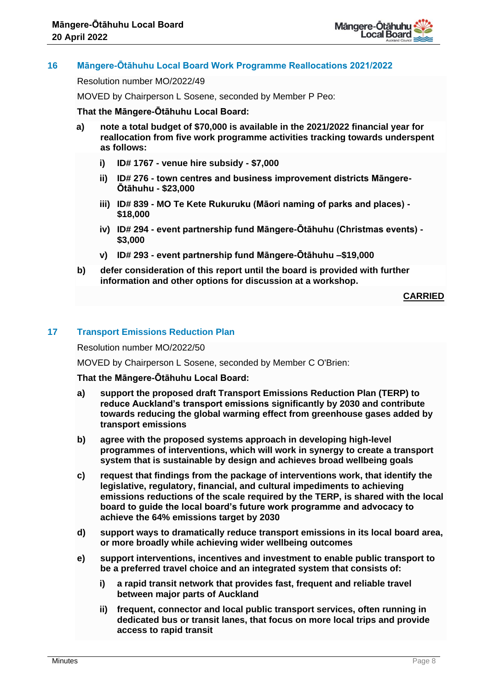

# **16 Māngere-Ōtāhuhu Local Board Work Programme Reallocations 2021/2022**

Resolution number MO/2022/49

MOVED by Chairperson L Sosene, seconded by Member P Peo:

## **That the Māngere-Ōtāhuhu Local Board:**

- **a) note a total budget of \$70,000 is available in the 2021/2022 financial year for reallocation from five work programme activities tracking towards underspent as follows:**
	- **i) ID# 1767 - venue hire subsidy - \$7,000**
	- **ii) ID# 276 - town centres and business improvement districts Māngere-Ōtāhuhu - \$23,000**
	- **iii) ID# 839 - MO Te Kete Rukuruku (Māori naming of parks and places) - \$18,000**
	- **iv) ID# 294 - event partnership fund Māngere-Ōtāhuhu (Christmas events) - \$3,000**
	- **v) ID# 293 - event partnership fund Māngere-Ōtāhuhu –\$19,000**
- **b) defer consideration of this report until the board is provided with further information and other options for discussion at a workshop.**

**CARRIED**

# **17 Transport Emissions Reduction Plan**

Resolution number MO/2022/50

MOVED by Chairperson L Sosene, seconded by Member C O'Brien:

## **That the Māngere-Ōtāhuhu Local Board:**

- **a) support the proposed draft Transport Emissions Reduction Plan (TERP) to reduce Auckland's transport emissions significantly by 2030 and contribute towards reducing the global warming effect from greenhouse gases added by transport emissions**
- **b) agree with the proposed systems approach in developing high-level programmes of interventions, which will work in synergy to create a transport system that is sustainable by design and achieves broad wellbeing goals**
- **c) request that findings from the package of interventions work, that identify the legislative, regulatory, financial, and cultural impediments to achieving emissions reductions of the scale required by the TERP, is shared with the local board to guide the local board's future work programme and advocacy to achieve the 64% emissions target by 2030**
- **d) support ways to dramatically reduce transport emissions in its local board area, or more broadly while achieving wider wellbeing outcomes**
- **e) support interventions, incentives and investment to enable public transport to be a preferred travel choice and an integrated system that consists of:**
	- **i) a rapid transit network that provides fast, frequent and reliable travel between major parts of Auckland**
	- **ii) frequent, connector and local public transport services, often running in dedicated bus or transit lanes, that focus on more local trips and provide access to rapid transit**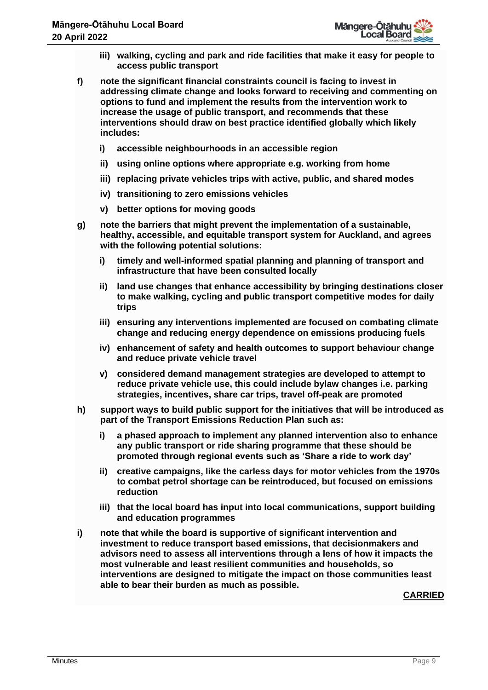- **iii) walking, cycling and park and ride facilities that make it easy for people to access public transport**
- **f) note the significant financial constraints council is facing to invest in addressing climate change and looks forward to receiving and commenting on options to fund and implement the results from the intervention work to increase the usage of public transport, and recommends that these interventions should draw on best practice identified globally which likely includes:**
	- **i) accessible neighbourhoods in an accessible region**
	- **ii) using online options where appropriate e.g. working from home**
	- **iii) replacing private vehicles trips with active, public, and shared modes**
	- **iv) transitioning to zero emissions vehicles**
	- **v) better options for moving goods**
- **g) note the barriers that might prevent the implementation of a sustainable, healthy, accessible, and equitable transport system for Auckland, and agrees with the following potential solutions:**
	- **i) timely and well-informed spatial planning and planning of transport and infrastructure that have been consulted locally**
	- **ii) land use changes that enhance accessibility by bringing destinations closer to make walking, cycling and public transport competitive modes for daily trips**
	- **iii) ensuring any interventions implemented are focused on combating climate change and reducing energy dependence on emissions producing fuels**
	- **iv) enhancement of safety and health outcomes to support behaviour change and reduce private vehicle travel**
	- **v) considered demand management strategies are developed to attempt to reduce private vehicle use, this could include bylaw changes i.e. parking strategies, incentives, share car trips, travel off-peak are promoted**
- **h) support ways to build public support for the initiatives that will be introduced as part of the Transport Emissions Reduction Plan such as:**
	- **i) a phased approach to implement any planned intervention also to enhance any public transport or ride sharing programme that these should be promoted through regional events such as 'Share a ride to work day'**
	- **ii) creative campaigns, like the carless days for motor vehicles from the 1970s to combat petrol shortage can be reintroduced, but focused on emissions reduction**
	- **iii) that the local board has input into local communications, support building and education programmes**
- **i) note that while the board is supportive of significant intervention and investment to reduce transport based emissions, that decisionmakers and advisors need to assess all interventions through a lens of how it impacts the most vulnerable and least resilient communities and households, so interventions are designed to mitigate the impact on those communities least able to bear their burden as much as possible.**

**CARRIED**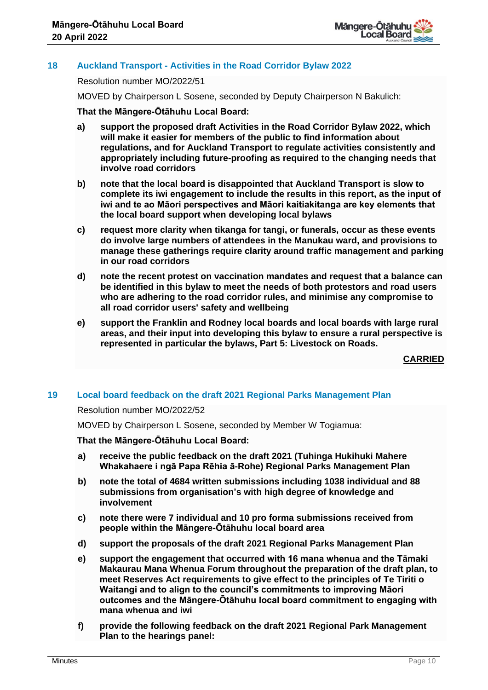

# **18 Auckland Transport - Activities in the Road Corridor Bylaw 2022**

Resolution number MO/2022/51

MOVED by Chairperson L Sosene, seconded by Deputy Chairperson N Bakulich:

# **That the Māngere-Ōtāhuhu Local Board:**

- **a) support the proposed draft Activities in the Road Corridor Bylaw 2022, which will make it easier for members of the public to find information about regulations, and for Auckland Transport to regulate activities consistently and appropriately including future-proofing as required to the changing needs that involve road corridors**
- **b) note that the local board is disappointed that Auckland Transport is slow to complete its iwi engagement to include the results in this report, as the input of iwi and te ao Māori perspectives and Māori kaitiakitanga are key elements that the local board support when developing local bylaws**
- **c) request more clarity when tikanga for tangi, or funerals, occur as these events do involve large numbers of attendees in the Manukau ward, and provisions to manage these gatherings require clarity around traffic management and parking in our road corridors**
- **d) note the recent protest on vaccination mandates and request that a balance can be identified in this bylaw to meet the needs of both protestors and road users who are adhering to the road corridor rules, and minimise any compromise to all road corridor users' safety and wellbeing**
- **e) support the Franklin and Rodney local boards and local boards with large rural areas, and their input into developing this bylaw to ensure a rural perspective is represented in particular the bylaws, Part 5: Livestock on Roads.**

**CARRIED**

# **19 Local board feedback on the draft 2021 Regional Parks Management Plan**

## Resolution number MO/2022/52

MOVED by Chairperson L Sosene, seconded by Member W Togiamua:

## **That the Māngere-Ōtāhuhu Local Board:**

- **a) receive the public feedback on the draft 2021 (Tuhinga Hukihuki Mahere Whakahaere i ngā Papa Rēhia ā-Rohe) Regional Parks Management Plan**
- **b) note the total of 4684 written submissions including 1038 individual and 88 submissions from organisation's with high degree of knowledge and involvement**
- **c) note there were 7 individual and 10 pro forma submissions received from people within the Māngere-Ōtāhuhu local board area**
- **d) support the proposals of the draft 2021 Regional Parks Management Plan**
- **e) support the engagement that occurred with 16 mana whenua and the Tāmaki Makaurau Mana Whenua Forum throughout the preparation of the draft plan, to meet Reserves Act requirements to give effect to the principles of Te Tiriti o Waitangi and to align to the council's commitments to improving Māori outcomes and the Māngere-Ōtāhuhu local board commitment to engaging with mana whenua and iwi**
- **f) provide the following feedback on the draft 2021 Regional Park Management Plan to the hearings panel:**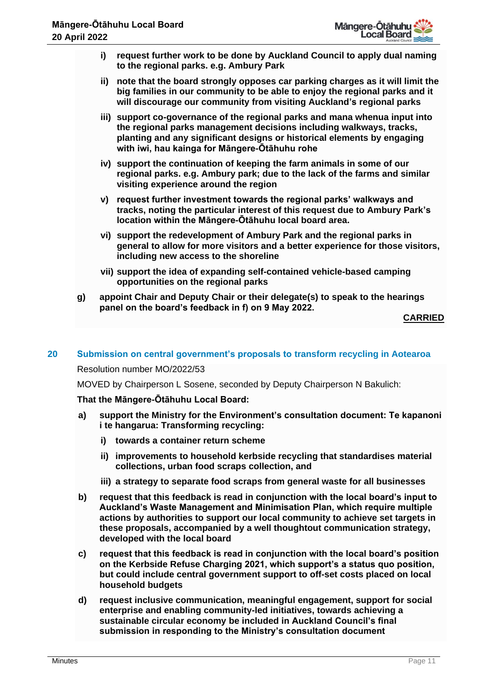- **i) request further work to be done by Auckland Council to apply dual naming to the regional parks. e.g. Ambury Park**
- **ii) note that the board strongly opposes car parking charges as it will limit the big families in our community to be able to enjoy the regional parks and it will discourage our community from visiting Auckland's regional parks**
- **iii) support co-governance of the regional parks and mana whenua input into the regional parks management decisions including walkways, tracks, planting and any significant designs or historical elements by engaging with iwi, hau kainga for Māngere-Ōtāhuhu rohe**
- **iv) support the continuation of keeping the farm animals in some of our regional parks. e.g. Ambury park; due to the lack of the farms and similar visiting experience around the region**
- **v) request further investment towards the regional parks' walkways and tracks, noting the particular interest of this request due to Ambury Park's location within the Māngere-Ōtāhuhu local board area.**
- **vi) support the redevelopment of Ambury Park and the regional parks in general to allow for more visitors and a better experience for those visitors, including new access to the shoreline**
- **vii) support the idea of expanding self-contained vehicle-based camping opportunities on the regional parks**
- **g) appoint Chair and Deputy Chair or their delegate(s) to speak to the hearings panel on the board's feedback in f) on 9 May 2022.**

**CARRIED**

# **20 Submission on central government's proposals to transform recycling in Aotearoa**

Resolution number MO/2022/53

MOVED by Chairperson L Sosene, seconded by Deputy Chairperson N Bakulich:

# **That the Māngere-Ōtāhuhu Local Board:**

- **a) support the Ministry for the Environment's consultation document: Te kapanoni i te hangarua: Transforming recycling:**
	- **i) towards a container return scheme**
	- **ii) improvements to household kerbside recycling that standardises material collections, urban food scraps collection, and**
	- **iii) a strategy to separate food scraps from general waste for all businesses**
- **b) request that this feedback is read in conjunction with the local board's input to Auckland's Waste Management and Minimisation Plan, which require multiple actions by authorities to support our local community to achieve set targets in these proposals, accompanied by a well thoughtout communication strategy, developed with the local board**
- **c) request that this feedback is read in conjunction with the local board's position on the Kerbside Refuse Charging 2021, which support's a status quo position, but could include central government support to off-set costs placed on local household budgets**
- **d) request inclusive communication, meaningful engagement, support for social enterprise and enabling community-led initiatives, towards achieving a sustainable circular economy be included in Auckland Council's final submission in responding to the Ministry's consultation document**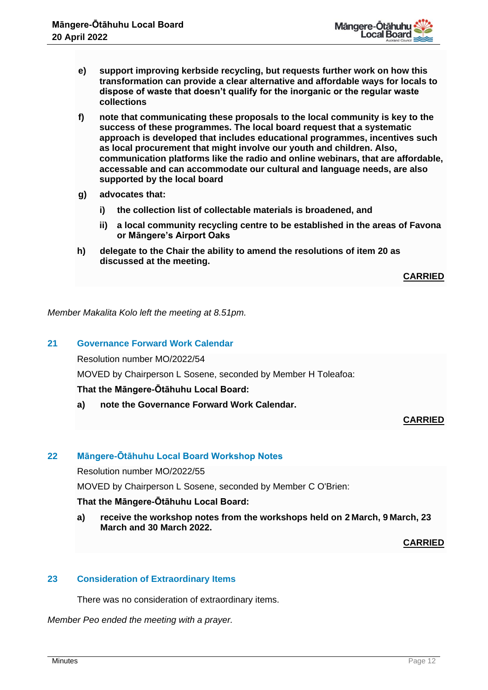

- **e) support improving kerbside recycling, but requests further work on how this transformation can provide a clear alternative and affordable ways for locals to dispose of waste that doesn't qualify for the inorganic or the regular waste collections**
- **f) note that communicating these proposals to the local community is key to the success of these programmes. The local board request that a systematic approach is developed that includes educational programmes, incentives such as local procurement that might involve our youth and children. Also, communication platforms like the radio and online webinars, that are affordable, accessable and can accommodate our cultural and language needs, are also supported by the local board**
- **g) advocates that:** 
	- **i) the collection list of collectable materials is broadened, and**
	- **ii) a local community recycling centre to be established in the areas of Favona or Māngere's Airport Oaks**
- **h) delegate to the Chair the ability to amend the resolutions of item 20 as discussed at the meeting.**

**CARRIED**

*Member Makalita Kolo left the meeting at 8.51pm.*

## **21 Governance Forward Work Calendar**

Resolution number MO/2022/54

MOVED by Chairperson L Sosene, seconded by Member H Toleafoa:

## **That the Māngere-Ōtāhuhu Local Board:**

**a) note the Governance Forward Work Calendar.**

## **CARRIED**

# **22 Māngere-Ōtāhuhu Local Board Workshop Notes**

Resolution number MO/2022/55

MOVED by Chairperson L Sosene, seconded by Member C O'Brien:

## **That the Māngere-Ōtāhuhu Local Board:**

**a) receive the workshop notes from the workshops held on 2 March, 9 March, 23 March and 30 March 2022.**

**CARRIED**

# **23 Consideration of Extraordinary Items**

There was no consideration of extraordinary items.

*Member Peo ended the meeting with a prayer.*